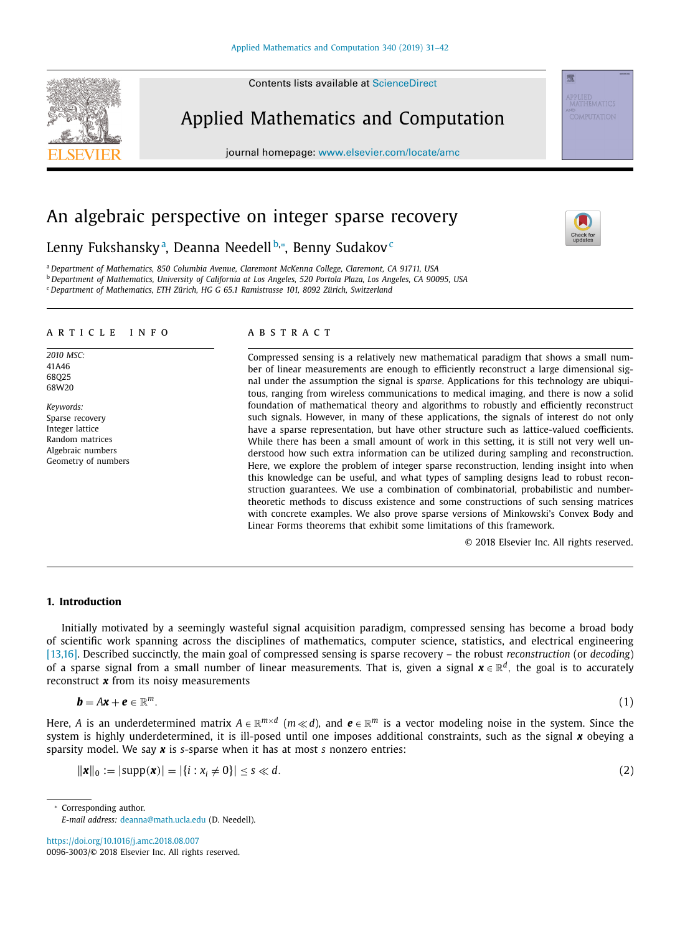Contents lists available at [ScienceDirect](http://www.ScienceDirect.com)

Applied Mathematics and Computation

journal homepage: [www.elsevier.com/locate/amc](http://www.elsevier.com/locate/amc)

# An algebraic perspective on integer sparse recovery

Lenny Fukshanskyª, Deanna Needell b,\*, Benny Sudakov<sup>c</sup>

<sup>a</sup> *Department of Mathematics, 850 Columbia Avenue, Claremont McKenna College, Claremont, CA 91711, USA*

<sup>b</sup> Department of Mathematics, University of California at Los Angeles, 520 Portola Plaza, Los Angeles, CA 90095, USA

<sup>c</sup> *Department of Mathematics, ETH Zürich, HG G 65.1 Ramistrasse 101, 8092 Zürich, Switzerland*

#### a r t i c l e i n f o

*2010 MSC:* 41A46 68Q25 68W20

*Keywords:* Sparse recovery Integer lattice Random matrices Algebraic numbers Geometry of numbers

### a b s t r a c t

Compressed sensing is a relatively new mathematical paradigm that shows a small number of linear measurements are enough to efficiently reconstruct a large dimensional signal under the assumption the signal is *sparse*. Applications for this technology are ubiquitous, ranging from wireless communications to medical imaging, and there is now a solid foundation of mathematical theory and algorithms to robustly and efficiently reconstruct such signals. However, in many of these applications, the signals of interest do not only have a sparse representation, but have other structure such as lattice-valued coefficients. While there has been a small amount of work in this setting, it is still not very well understood how such extra information can be utilized during sampling and reconstruction. Here, we explore the problem of integer sparse reconstruction, lending insight into when this knowledge can be useful, and what types of sampling designs lead to robust reconstruction guarantees. We use a combination of combinatorial, probabilistic and numbertheoretic methods to discuss existence and some constructions of such sensing matrices with concrete examples. We also prove sparse versions of Minkowski's Convex Body and Linear Forms theorems that exhibit some limitations of this framework.

© 2018 Elsevier Inc. All rights reserved.

## **1. Introduction**

Initially motivated by a seemingly wasteful signal acquisition paradigm, compressed sensing has become a broad body of scientific work spanning across the disciplines of mathematics, computer science, statistics, and electrical engineering [\[13,16\].](#page-10-0) Described succinctly, the main goal of compressed sensing is sparse recovery – the robust *reconstruction* (or *decoding*) of a sparse signal from a small number of linear measurements. That is, given a signal *x* ∈ R*d*, the goal is to accurately reconstruct *x* from its noisy measurements

$$
\mathbf{b} = A\mathbf{x} + \mathbf{e} \in \mathbb{R}^m. \tag{1}
$$

Here, *A* is an underdetermined matrix  $A \in \mathbb{R}^{m \times d}$  ( $m \ll d$ ), and  $e \in \mathbb{R}^m$  is a vector modeling noise in the system. Since the system is highly underdetermined, it is ill-posed until one imposes additional constraints, such as the signal x obeying a sparsity model. We say *x* is *s*-sparse when it has at most *s* nonzero entries:

$$
\|\mathbf{x}\|_{0} := |\text{supp}(\mathbf{x})| = |\{i : x_{i} \neq 0\}| \leq s \ll d. \tag{2}
$$

<sup>∗</sup> Corresponding author.

<https://doi.org/10.1016/j.amc.2018.08.007> 0096-3003/© 2018 Elsevier Inc. All rights reserved.

<span id="page-0-0"></span>



骤

*E-mail address:* [deanna@math.ucla.edu](mailto:deanna@math.ucla.edu) (D. Needell).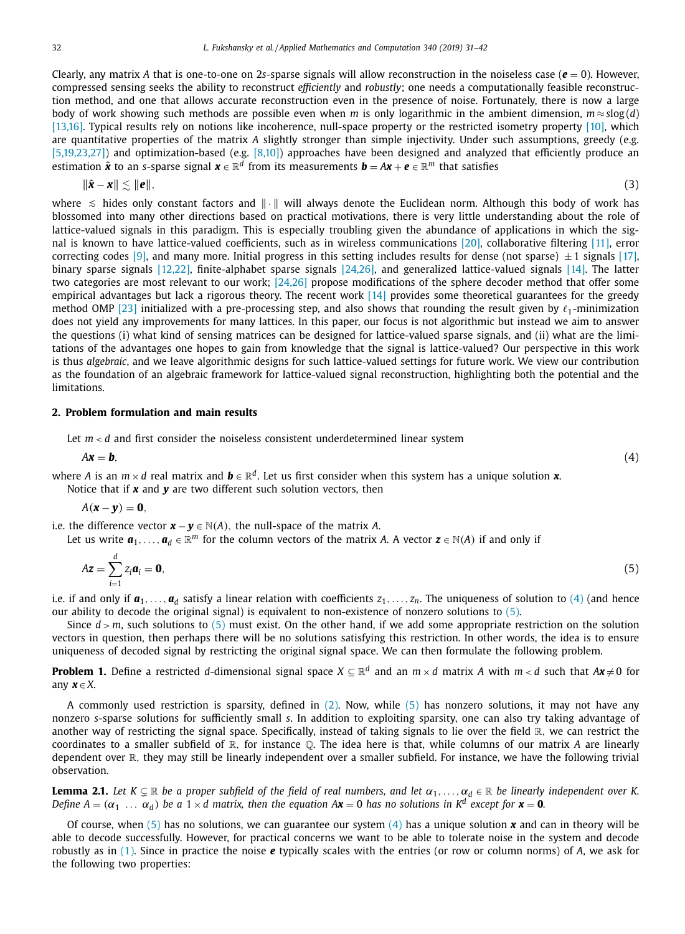Clearly, any matrix *A* that is one-to-one on 2*s*-sparse signals will allow reconstruction in the noiseless case (*e* = 0). However, compressed sensing seeks the ability to reconstruct *efficiently* and *robustly*; one needs a computationally feasible reconstruction method, and one that allows accurate reconstruction even in the presence of noise. Fortunately, there is now a large body of work showing such methods are possible even when *m* is only logarithmic in the ambient dimension,  $m \approx$  *s*log(*d*) [\[13,16\].](#page-10-0) Typical results rely on notions like incoherence, null-space property or the restricted isometry property [\[10\],](#page-10-0) which are quantitative properties of the matrix *A* slightly stronger than simple injectivity. Under such assumptions, greedy (e.g. [\[5,19,23,27\]\)](#page-10-0) and optimization-based (e.g. [\[8,10\]\)](#page-10-0) approaches have been designed and analyzed that efficiently produce an estimation  $\hat{\mathbf{x}}$  to an *s*-sparse signal  $\mathbf{x} \in \mathbb{R}^d$  from its measurements  $\mathbf{b} = A\mathbf{x} + \mathbf{e} \in \mathbb{R}^m$  that satisfies

$$
\|\hat{\mathbf{x}} - \mathbf{x}\| \lesssim \|\mathbf{e}\|,\tag{3}
$$

where  $\leq$  hides only constant factors and  $\|\cdot\|$  will always denote the Euclidean norm. Although this body of work has blossomed into many other directions based on practical motivations, there is very little understanding about the role of lattice-valued signals in this paradigm. This is especially troubling given the abundance of applications in which the signal is known to have lattice-valued coefficients, such as in wireless communications [\[20\],](#page-11-0) collaborative filtering [\[11\],](#page-10-0) error correcting codes [\[9\],](#page-10-0) and many more. Initial progress in this setting includes results for dense (not sparse)  $\pm$  1 signals [\[17\],](#page-11-0) binary sparse signals [\[12,22\],](#page-10-0) finite-alphabet sparse signals [\[24,26\],](#page-11-0) and generalized lattice-valued signals [\[14\].](#page-10-0) The latter two categories are most relevant to our work; [\[24,26\]](#page-11-0) propose modifications of the sphere decoder method that offer some empirical advantages but lack a rigorous theory. The recent work [\[14\]](#page-10-0) provides some theoretical guarantees for the greedy method OMP [\[23\]](#page-11-0) initialized with a pre-processing step, and also shows that rounding the result given by  $\ell_1$ -minimization does not yield any improvements for many lattices. In this paper, our focus is not algorithmic but instead we aim to answer the questions (i) what kind of sensing matrices can be designed for lattice-valued sparse signals, and (ii) what are the limitations of the advantages one hopes to gain from knowledge that the signal is lattice-valued? Our perspective in this work is thus *algebraic*, and we leave algorithmic designs for such lattice-valued settings for future work. We view our contribution as the foundation of an algebraic framework for lattice-valued signal reconstruction, highlighting both the potential and the limitations.

## **2. Problem formulation and main results**

Let  $m < d$  and first consider the noiseless consistent underdetermined linear system

 $A\mathbf{x} = \mathbf{b}$ , (4)

where *A* is an  $m \times d$  real matrix and  $\mathbf{b} \in \mathbb{R}^d$ . Let us first consider when this system has a unique solution **x**. Notice that if *x* and *y* are two different such solution vectors, then

$$
A(\mathbf{x}-\mathbf{y})=\mathbf{0},
$$

i.e. the difference vector  $\mathbf{x} - \mathbf{y} \in \mathbb{N}(A)$ , the null-space of the matrix *A*.

Let us write  $a_1, \ldots, a_d \in \mathbb{R}^m$  for the column vectors of the matrix *A*. A vector  $z \in N(A)$  if and only if

$$
A\mathbf{z} = \sum_{i=1}^{d} z_i \mathbf{a}_i = \mathbf{0},\tag{5}
$$

i.e. if and only if  $a_1, \ldots, a_d$  satisfy a linear relation with coefficients  $z_1, \ldots, z_n$ . The uniqueness of solution to (4) (and hence our ability to decode the original signal) is equivalent to non-existence of nonzero solutions to (5).

Since *d* > *m*, such solutions to (5) must exist. On the other hand, if we add some appropriate restriction on the solution vectors in question, then perhaps there will be no solutions satisfying this restriction. In other words, the idea is to ensure uniqueness of decoded signal by restricting the original signal space. We can then formulate the following problem.

**Problem 1.** Define a restricted *d*-dimensional signal space  $X \subseteq \mathbb{R}^d$  and an  $m \times d$  matrix *A* with  $m < d$  such that  $Ax \neq 0$  for any  $x \in X$ .

A commonly used restriction is sparsity, defined in [\(2\).](#page-0-0) Now, while (5) has nonzero solutions, it may not have any nonzero *s*-sparse solutions for sufficiently small *s*. In addition to exploiting sparsity, one can also try taking advantage of another way of restricting the signal space. Specifically, instead of taking signals to lie over the field  $\mathbb{R}$ , we can restrict the coordinates to a smaller subfield of R, for instance Q. The idea here is that, while columns of our matrix *A* are linearly dependent over R, they may still be linearly independent over a smaller subfield. For instance, we have the following trivial observation.

**Lemma 2.1.** Let K  $\subsetneq$   $\R$  be a proper subfield of the field of real numbers, and let  $\alpha_1,\ldots,\alpha_d\in\R$  be linearly independent over K. Define  $A = (\alpha_1 \dots \alpha_d)$  be a 1 x d matrix, then the equation  $A\mathbf{x} = 0$  has no solutions in  $K^d$  except for  $\mathbf{x} = 0$ .

Of course, when (5) has no solutions, we can guarantee our system (4) has a unique solution *x* and can in theory will be able to decode successfully. However, for practical concerns we want to be able to tolerate noise in the system and decode robustly as in [\(1\).](#page-0-0) Since in practice the noise *e* typically scales with the entries (or row or column norms) of *A*, we ask for the following two properties: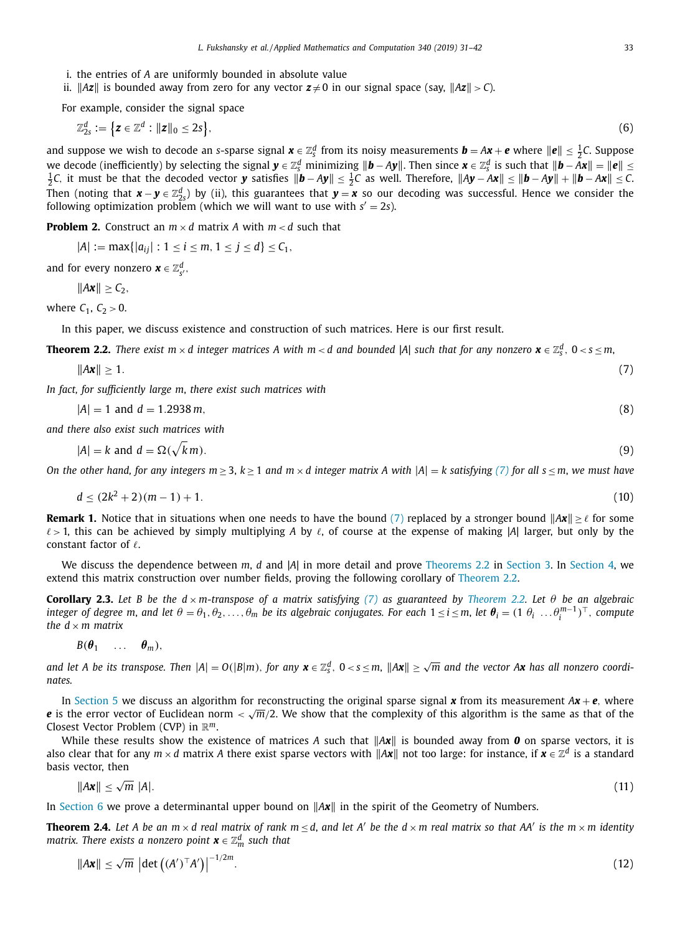- <span id="page-2-0"></span>i. the entries of *A* are uniformly bounded in absolute value
- ii.  $\|Az\|$  is bounded away from zero for any vector  $z \neq 0$  in our signal space (say,  $\|Az\| > C$ ).

For example, consider the signal space

$$
\mathbb{Z}_{2s}^d := \left\{ \boldsymbol{z} \in \mathbb{Z}^d : ||\boldsymbol{z}||_0 \le 2s \right\},\tag{6}
$$

and suppose we wish to decode an *s*-sparse signal  $x \in \mathbb{Z}_s^d$  from its noisy measurements  $b = Ax + e$  where  $||e|| \leq \frac{1}{2}C$ . Suppose we decode (inefficiently) by selecting the signal  $y \in \mathbb{Z}_S^d$  minimizing  $||b - Ay||$ . Then since  $x \in \mathbb{Z}_S^d$  is such that  $||b - Ax|| = ||e|| \le$ <br>10 it must be that the decoded vector **y** satisfies  $||b - Av|| < 1$  as well. Therefore  $\frac{1}{2}C$ , it must be that the decoded vector **y** satisfies  $\|\bm{b}-A\bm{y}\|\leq \frac{1}{2}C$  as well. Therefore,  $\|A\bm{y}-A\bm{x}\|\leq \|\bm{b}-A\bm{y}\|+\|\bm{b}-A\bm{x}\|\leq C$ . Then (noting that  $x - y \in \mathbb{Z}_{25}^d$ ) by (ii), this guarantees that  $y = x$  so our decoding was successful. Hence we consider the following optimization problem (which we will want to use with  $s' = 2s$ ).

**Problem 2.** Construct an  $m \times d$  matrix *A* with  $m \times d$  such that

 $|A| := \max\{|a_{ij}| : 1 \le i \le m, 1 \le j \le d\} \le C_1$ 

and for every nonzero  $\boldsymbol{x} \in \mathbb{Z}_{s'}^d$ ,

 $||Ax|| \geq C_2$ ,

where  $C_1$ ,  $C_2 > 0$ .

In this paper, we discuss existence and construction of such matrices. Here is our first result.

**Theorem 2.2.** There exist  $m \times d$  integer matrices A with  $m < d$  and bounded |A| such that for any nonzero  $\bm{x} \in \mathbb{Z}_S^d$ ,  $0 < s \leq m$ ,

$$
\|\mathbf{Ax}\| \ge 1. \tag{7}
$$

*In fact, for sufficiently large m*, *there exist such matrices with*

$$
|A| = 1 \text{ and } d = 1.2938 \, m,\tag{8}
$$

*and there also exist such matrices with*

$$
|A| = k \text{ and } d = \Omega(\sqrt{k}m). \tag{9}
$$

On the other hand, for any integers  $m > 3$ ,  $k > 1$  and  $m \times d$  integer matrix A with  $|A| = k$  satisfying (7) for all  $s < m$ , we must have

$$
d \le (2k^2 + 2)(m - 1) + 1. \tag{10}
$$

**Remark 1.** Notice that in situations when one needs to have the bound (7) replaced by a stronger bound  $\|Ax\| \geq \ell$  for some  $\ell > 1$ , this can be achieved by simply multiplying A by  $\ell$ , of course at the expense of making |A| larger, but only by the constant factor of  $\ell$ .

We discuss the dependence between *m*, *d* and |*A*| in more detail and prove Theorems 2.2 in [Section](#page-5-0) 3. In Section 4, we extend this matrix construction over number fields, proving the following corollary of Theorem 2.2.

**Corollary 2.3.** Let B be the  $d \times m$ -transpose of a matrix satisfying (7) as guaranteed by Theorem 2.2. Let  $\theta$  be an algebraic integer of degree m, and let  $\theta = \theta_1, \theta_2, \ldots, \theta_m$  be its algebraic conjugates. For each  $1 \le i \le m$ , let  $\bm{\theta}_i = (1 \ \theta_i \ \ldots \theta_i^{m-1})^\top$ , compute *the*  $d \times m$  *matrix* 

 $B(\theta_1 \dots \theta_m),$ 

and let A be its transpose. Then  $|A|=O(|B|m)$ , for any  $\bm{x}\in\mathbb{Z}_S^d$ ,  $0< s\leq m$ ,  $\|\bm{A}\bm{x}\|\geq \sqrt{m}$  and the vector A $\bm{x}$  has all nonzero coordi*nates.*

In [Section](#page-7-0) 5 we discuss an algorithm for reconstructing the original sparse signal **x** from its measurement  $Ax + e$ , where *e* is the error vector of Euclidean norm  $\langle \sqrt{m}/2 \rangle$ . We show that the complexity of this algorithm is the same as that of the Closest Vector Problem (CVP) in R*m*.

While these results show the existence of matrices A such that  $\|Ax\|$  is bounded away from **0** on sparse vectors, it is also clear that for any  $m \times d$  matrix *A* there exist sparse vectors with  $\|\mathbf{Ax}\|$  not too large: for instance, if  $\mathbf{x} \in \mathbb{Z}^d$  is a standard basis vector, then

$$
\|A\mathbf{x}\| \le \sqrt{m} \ |A|.\tag{11}
$$

In [Section](#page-8-0) 6 we prove a determinantal upper bound on  $||Ax||$  in the spirit of the Geometry of Numbers.

**Theorem 2.4.** Let A be an  $m \times d$  real matrix of rank  $m \leq d$ , and let A' be the  $d \times m$  real matrix so that AA' is the  $m \times m$  identity *matrix. There exists a nonzero point*  $\boldsymbol{x} \in \mathbb{Z}_m^d$  *such that* 

$$
\|A\mathbf{x}\| \le \sqrt{m} \left| \det \left( (A')^{\top} A' \right) \right|^{-1/2m}.
$$
\n(12)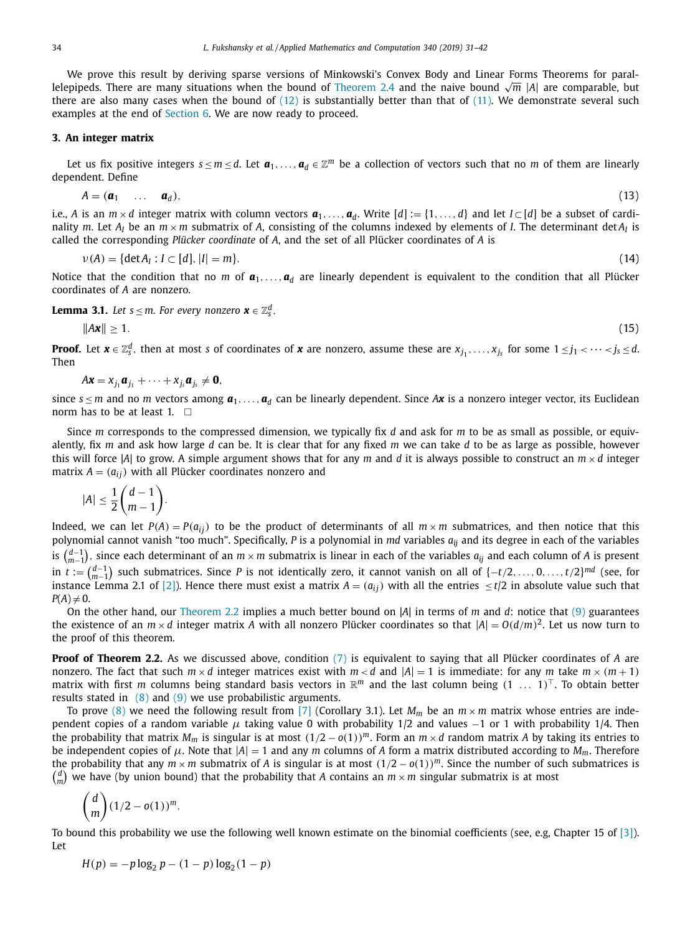<span id="page-3-0"></span>We prove this result by deriving sparse versions of Minkowski's Convex Body and Linear Forms Theorems for parallelepipeds. There are many situations when the bound of [Theorem](#page-2-0) 2.4 and the naive bound <sup>√</sup>*<sup>m</sup>* <sup>|</sup>*A*<sup>|</sup> are comparable, but there are also many cases when the bound of  $(12)$  is substantially better than that of  $(11)$ . We demonstrate several such examples at the end of [Section](#page-8-0) 6. We are now ready to proceed.

#### **3. An integer matrix**

Let us fix positive integers  $s \le m \le d$ . Let  $a_1, \ldots, a_d \in \mathbb{Z}^m$  be a collection of vectors such that no *m* of them are linearly dependent. Define

$$
A = (\mathbf{a}_1 \quad \dots \quad \mathbf{a}_d), \tag{13}
$$

i.e., *A* is an  $m \times d$  integer matrix with column vectors  $a_1, \ldots, a_d$ . Write  $[d] := \{1, \ldots, d\}$  and let  $I \subset [d]$  be a subset of cardinality *m*. Let  $A_i$  be an  $m \times m$  submatrix of A, consisting of the columns indexed by elements of *I*. The determinant det  $A_i$  is called the corresponding *Plücker coordinate* of *A*, and the set of all Plücker coordinates of *A* is

$$
\nu(A) = \{ \det A_I : I \subset [d], |I| = m \}. \tag{14}
$$

Notice that the condition that no *m* of  $a_1, \ldots, a_d$  are linearly dependent is equivalent to the condition that all Plücker coordinates of *A* are nonzero.

**Lemma 3.1.** *Let*  $s \le m$ *. For every nonzero*  $\boldsymbol{x} \in \mathbb{Z}_s^d$ ,

$$
\|\mathbf{Ax}\| \ge 1. \tag{15}
$$

**Proof.** Let  $\bm{x}\in\mathbb{Z}_5^d$ , then at most  $s$  of coordinates of  $\bm{x}$  are nonzero, assume these are  $x_{j_1},\ldots,x_{j_s}$  for some  $1\leq j_1<\cdots< j_s\leq d.$ Then

$$
A\mathbf{x} = x_{j_1}\mathbf{a}_{j_1} + \cdots + x_{j_s}\mathbf{a}_{j_s} \neq \mathbf{0},
$$

since  $s \le m$  and no *m* vectors among  $a_1, \ldots, a_d$  can be linearly dependent. Since A*x* is a nonzero integer vector, its Euclidean norm has to be at least 1.  $\square$ 

Since *m* corresponds to the compressed dimension, we typically fix *d* and ask for *m* to be as small as possible, or equivalently, fix *m* and ask how large *d* can be. It is clear that for any fixed *m* we can take *d* to be as large as possible, however this will force |A| to grow. A simple argument shows that for any  $m$  and  $d$  it is always possible to construct an  $m \times d$  integer matrix  $A = (a_{ij})$  with all Plücker coordinates nonzero and

$$
|A| \leq \frac{1}{2} {d-1 \choose m-1}.
$$

Indeed, we can let  $P(A) = P(a_{ij})$  to be the product of determinants of all  $m \times m$  submatrices, and then notice that this polynomial cannot vanish "too much". Specifically, *P* is a polynomial in *md* variables *aij* and its degree in each of the variables is *<sup>d</sup>*−<sup>1</sup> *m*−1 , since each determinant of an *m* × *m* submatrix is linear in each of the variables *aij* and each column of *A* is present in *t* := *<sup>d</sup>*−<sup>1</sup> *m*−1 such submatrices. Since *P* is not identically zero, it cannot vanish on all of {−*t*/2, . . ., 0, . . .,*t*/2}*md* (see, for instance Lemma 2.1 of [\[2\]\)](#page-10-0). Hence there must exist a matrix  $A = (a_{ij})$  with all the entries  $\leq t/2$  in absolute value such that  $P(A) \neq 0$ .

On the other hand, our [Theorem](#page-2-0) 2.2 implies a much better bound on |*A*| in terms of *m* and *d*: notice that [\(9\)](#page-2-0) guarantees the existence of an  $m \times d$  integer matrix *A* with all nonzero Plücker coordinates so that  $|A| = O(d/m)^2$ . Let us now turn to the proof of this theorem.

**Proof of Theorem 2.2.** As we discussed above, condition [\(7\)](#page-2-0) is equivalent to saying that all Plücker coordinates of *A* are nonzero. The fact that such  $m \times d$  integer matrices exist with  $m \times d$  and  $|A| = 1$  is immediate: for any *m* take  $m \times (m + 1)$ matrix with first *m* columns being standard basis vectors in  $\mathbb{R}^m$  and the last column being  $(1 \ldots 1)^T$ . To obtain better results stated in  $(8)$  and  $(9)$  we use probabilistic arguments.

To prove [\(8\)](#page-2-0) we need the following result from [\[7\]](#page-10-0) (Corollary 3.1). Let  $M_m$  be an  $m \times m$  matrix whose entries are independent copies of a random variable  $\mu$  taking value 0 with probability 1/2 and values -1 or 1 with probability 1/4. Then the probability that matrix  $M_m$  is singular is at most  $(1/2 - o(1))^m$ . Form an  $m \times d$  random matrix A by taking its entries to be independent copies of  $\mu$ . Note that  $|A| = 1$  and any *m* columns of *A* form a matrix distributed according to  $M_m$ . Therefore the probability that any  $m \times m$  submatrix of *A* is singular is at most  $(1/2 - o(1))^m$ . Since the number of such submatrices is  $\binom{d}{m}$  we have (by union bound) that the probability that *A* contains an  $m \times m$  singular submatrix is at most

$$
\binom{d}{m}(1/2-o(1))^m.
$$

To bound this probability we use the following well known estimate on the binomial coefficients (see, e.g, Chapter 15 of [\[3\]\)](#page-10-0). Let

$$
H(p) = -p \log_2 p - (1 - p) \log_2 (1 - p)
$$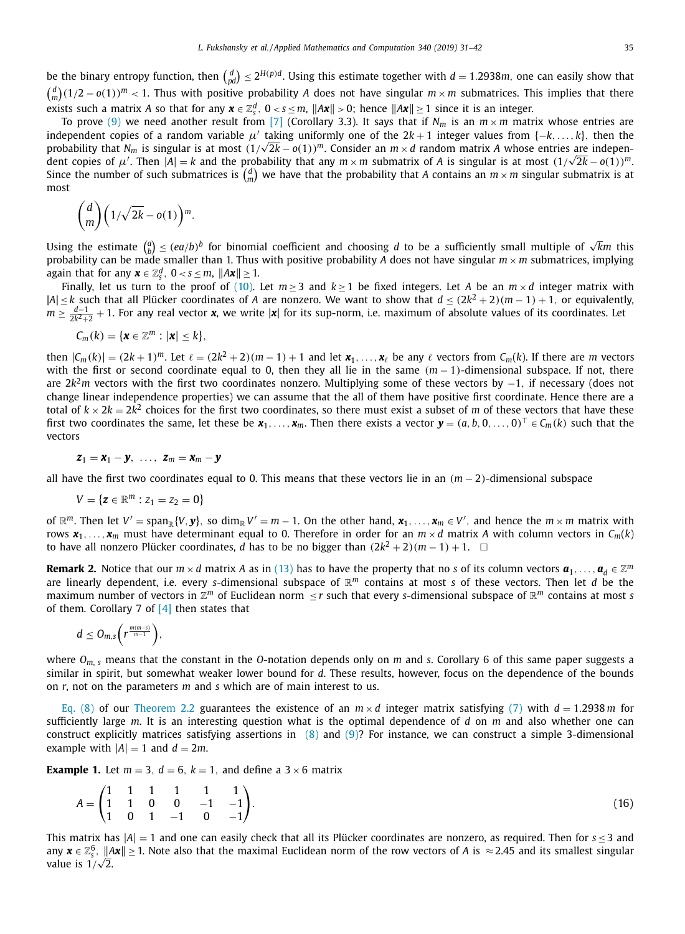<span id="page-4-0"></span>be the binary entropy function, then  $\binom{d}{pd}\leq 2^{H(p)d}$ . Using this estimate together with  $d=1.2938m$ , one can easily show that  $\binom{d}{m}(1/2 - o(1))^m < 1$ . Thus with positive probability *A* does not have singular  $m \times m$  submatrices. This implies that there exists such a matrix *A* so that for any  $x \in \mathbb{Z}_s^d$ ,  $0 < s \le m$ ,  $\|Ax\| > 0$ ; hence  $\|Ax\| \ge 1$  since it is an integer.

To prove [\(9\)](#page-2-0) we need another result from [\[7\]](#page-10-0) (Corollary 3.3). It says that if  $N_m$  is an  $m \times m$  matrix whose entries are independent copies of a random variable  $\mu'$  taking uniformly one of the  $2k + 1$  integer values from  $\{-k, \ldots, k\}$ , then the probability that *N<sub>m</sub>* is singular is at most  $(1/\sqrt{2k} - o(1))^m$ . Consider an  $m \times d$  random matrix *A* whose entries are independent copies of  $\mu'$ . Then  $|A| = k$  and the probability that any  $m \times m$  submatrix of A is singular is at most  $(1/\sqrt{2k} - o(1))^m$ . Since the number of such submatrices is  $\binom{d}{m}$  we have that the probability that *A* contains an  $m \times m$  singular submatrix is at most

$$
\binom{d}{m}\left(1/\sqrt{2k}-o(1)\right)^m.
$$

Using the estimate  $\binom{a}{b} \leq (ea/b)^b$  for binomial coefficient and choosing *d* to be a sufficiently small multiple of  $\sqrt{k}m$  this probability can be made smaller than 1. Thus with positive probability *A* does not have singular  $m \times m$  submatrices, implying again that for any  $\boldsymbol{x} \in \mathbb{Z}_s^d$ ,  $0 < s \leq m$ ,  $\|A\boldsymbol{x}\| \geq 1$ .

Finally, let us turn to the proof of [\(10\).](#page-2-0) Let  $m \ge 3$  and  $k \ge 1$  be fixed integers. Let *A* be an  $m \times d$  integer matrix with |*A*| ≤ *k* such that all Plücker coordinates of *A* are nonzero. We want to show that *d* ≤ (2*k*<sup>2</sup> + 2)(*m* − 1) + 1, or equivalently, *m* ≥  $\frac{d-1}{2k^2+2}$  + 1. For any real vector **x**, we write |**x**| for its sup-norm, i.e. maximum of absolute values of its coordinates. Let

$$
C_m(k) = \{ \mathbf{x} \in \mathbb{Z}^m : |\mathbf{x}| \leq k \},\
$$

then  $|C_m(k)| = (2k+1)^m$ . Let  $\ell = (2k^2+2)(m-1)+1$  and let  $\mathbf{x}_1,\ldots,\mathbf{x}_\ell$  be any  $\ell$  vectors from  $C_m(k)$ . If there are *m* vectors with the first or second coordinate equal to 0, then they all lie in the same  $(m − 1)$ -dimensional subspace. If not, there are 2*k*2*m* vectors with the first two coordinates nonzero. Multiplying some of these vectors by −1, if necessary (does not change linear independence properties) we can assume that the all of them have positive first coordinate. Hence there are a total of  $k \times 2k = 2k^2$  choices for the first two coordinates, so there must exist a subset of *m* of these vectors that have these first two coordinates the same, let these be  $x_1, \ldots, x_m$ . Then there exists a vector  $\mathbf{y} = (a, b, 0, \ldots, 0)^\top \in C_m(k)$  such that the vectors

$$
\boldsymbol{z}_1 = \boldsymbol{x}_1 - \boldsymbol{y}, \ \ldots, \ \boldsymbol{z}_m = \boldsymbol{x}_m - \boldsymbol{y}
$$

all have the first two coordinates equal to 0. This means that these vectors lie in an (*m* − 2)-dimensional subspace

$$
V = \{z \in \mathbb{R}^m : z_1 = z_2 = 0\}
$$

of  $\mathbb{R}^m$ . Then let  $V' = \text{span}_{\mathbb{R}}\{V, \mathbf{y}\}$ , so  $\dim_{\mathbb{R}}V' = m - 1$ . On the other hand,  $\mathbf{x}_1, \ldots, \mathbf{x}_m \in V'$ , and hence the  $m \times m$  matrix with rows  $x_1, \ldots, x_m$  must have determinant equal to 0. Therefore in order for an  $m \times d$  matrix *A* with column vectors in  $C_m(k)$ to have all nonzero Plücker coordinates, *d* has to be no bigger than  $(2k^2 + 2)(m - 1) + 1$ . □

**Remark 2.** Notice that our  $m \times d$  matrix *A* as in [\(13\)](#page-3-0) has to have the property that no *s* of its column vectors  $\mathbf{a}_1, \ldots, \mathbf{a}_d \in \mathbb{Z}^m$ are linearly dependent, i.e. every *s*-dimensional subspace of  $\mathbb{R}^m$  contains at most *s* of these vectors. Then let *d* be the maximum number of vectors in  $\mathbb{Z}^m$  of Euclidean norm ≤ *r* such that every *s*-dimensional subspace of  $\mathbb{R}^m$  contains at most *s* of them. Corollary 7 of  $[4]$  then states that

$$
d\leq O_{m,s}\bigg(r^{\frac{m(m-s)}{m-1}}\bigg),
$$

where *Om*, *<sup>s</sup>* means that the constant in the *O*-notation depends only on *m* and *s*. Corollary 6 of this same paper suggests a similar in spirit, but somewhat weaker lower bound for *d*. These results, however, focus on the dependence of the bounds on *r*, not on the parameters *m* and *s* which are of main interest to us.

[Eq.](#page-2-0) (8) of our [Theorem](#page-2-0) 2.2 guarantees the existence of an  $m \times d$  integer matrix satisfying [\(7\)](#page-2-0) with  $d = 1.2938 m$  for sufficiently large *m*. It is an interesting question what is the optimal dependence of *d* on *m* and also whether one can construct explicitly matrices satisfying assertions in [\(8\)](#page-2-0) and [\(9\)?](#page-2-0) For instance, we can construct a simple 3-dimensional example with  $|A| = 1$  and  $d = 2m$ .

**Example 1.** Let  $m = 3$ ,  $d = 6$ ,  $k = 1$ , and define a  $3 \times 6$  matrix

$$
A = \begin{pmatrix} 1 & 1 & 1 & 1 & 1 & 1 \\ 1 & 1 & 0 & 0 & -1 & -1 \\ 1 & 0 & 1 & -1 & 0 & -1 \end{pmatrix} . \tag{16}
$$

This matrix has  $|A| = 1$  and one can easily check that all its Plücker coordinates are nonzero, as required. Then for  $s \le 3$  and any  $x \in \mathbb{Z}_s^6$ ,  $||Ax|| \ge 1$ . Note also that the maximal Euclidean norm of the row vectors of *A* is  $\approx$  2.45 and its smallest singular value is  $1/\sqrt{2}$ .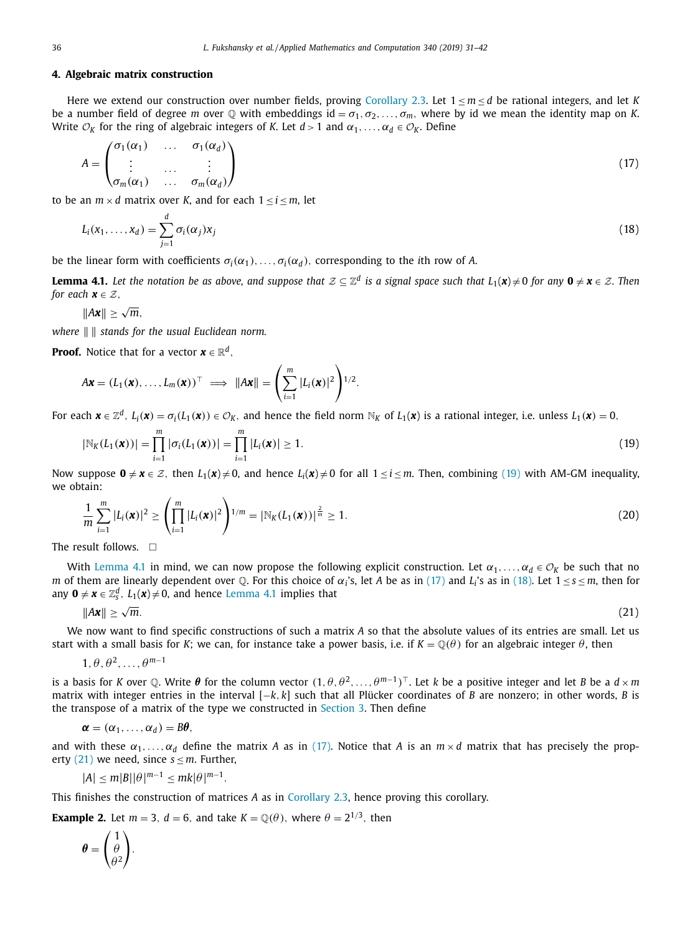#### <span id="page-5-0"></span>**4. Algebraic matrix construction**

Here we extend our construction over number fields, proving [Corollary](#page-2-0) 2.3. Let  $1 \le m \le d$  be rational integers, and let *K* be a number field of degree *m* over  $\mathbb Q$  with embeddings id =  $\sigma_1, \sigma_2, \ldots, \sigma_m$ , where by id we mean the identity map on *K*. Write  $\mathcal{O}_K$  for the ring of algebraic integers of *K*. Let  $d > 1$  and  $\alpha_1, \ldots, \alpha_d \in \mathcal{O}_K$ . Define

$$
A = \begin{pmatrix} \sigma_1(\alpha_1) & \dots & \sigma_1(\alpha_d) \\ \vdots & \dots & \vdots \\ \sigma_m(\alpha_1) & \dots & \sigma_m(\alpha_d) \end{pmatrix}
$$
 (17)

to be an  $m \times d$  matrix over *K*, and for each  $1 \le i \le m$ , let

$$
L_i(x_1,\ldots,x_d) = \sum_{j=1}^d \sigma_i(\alpha_j) x_j \tag{18}
$$

be the linear form with coefficients  $\sigma_i(\alpha_1), \ldots, \sigma_i(\alpha_d)$ , corresponding to the *i*th row of *A*.

**Lemma 4.1.** Let the notation be as above, and suppose that  $\mathcal{Z} \subset \mathbb{Z}^d$  is a signal space such that  $L_1(\mathbf{x}) \neq 0$  for any  $\mathbf{0} \neq \mathbf{x} \in \mathcal{Z}$ . Then *for each*  $\mathbf{x} \in \mathcal{Z}$ ,

$$
||A\mathbf{x}|| \geq \sqrt{m},
$$

*where stands for the usual Euclidean norm.*

**Proof.** Notice that for a vector  $\mathbf{x} \in \mathbb{R}^d$ ,

$$
A\mathbf{x} = (L_1(\mathbf{x}), \ldots, L_m(\mathbf{x}))^\top \implies ||A\mathbf{x}|| = \left(\sum_{i=1}^m |L_i(\mathbf{x})|^2\right)^{1/2}.
$$

For each  $\mathbf{x} \in \mathbb{Z}^d$ ,  $L_i(\mathbf{x}) = \sigma_i(L_1(\mathbf{x})) \in \mathcal{O}_K$ , and hence the field norm  $\mathbb{N}_K$  of  $L_1(\mathbf{x})$  is a rational integer, i.e. unless  $L_1(\mathbf{x}) = 0$ ,

$$
|\mathbb{N}_K(L_1(\bm{x}))| = \prod_{i=1}^m |\sigma_i(L_1(\bm{x}))| = \prod_{i=1}^m |L_i(\bm{x})| \ge 1.
$$
\n(19)

Now suppose  $0 \neq x \in \mathbb{Z}$ , then  $L_1(x) \neq 0$ , and hence  $L_i(x) \neq 0$  for all  $1 \leq i \leq m$ . Then, combining (19) with AM-GM inequality, we obtain:

$$
\frac{1}{m}\sum_{i=1}^{m}|L_i(\mathbf{x})|^2 \ge \left(\prod_{i=1}^{m}|L_i(\mathbf{x})|^2\right)^{1/m} = |\mathbb{N}_K(L_1(\mathbf{x}))|^{\frac{2}{m}} \ge 1.
$$
\n(20)

The result follows.  $\Box$ 

With Lemma 4.1 in mind, we can now propose the following explicit construction. Let  $\alpha_1, \ldots, \alpha_d \in \mathcal{O}_K$  be such that no *m* of them are linearly dependent over Q. For this choice of  $\alpha_i$ 's, let *A* be as in (17) and *L<sub>i</sub>*'s as in (18). Let  $1 \le s \le m$ , then for any  $\mathbf{0} \neq \mathbf{x} \in \mathbb{Z}_s^d$ ,  $L_1(\mathbf{x}) \neq 0$ , and hence Lemma 4.1 implies that

$$
\|\mathbf{A}\mathbf{x}\| \ge \sqrt{m}.\tag{21}
$$

We now want to find specific constructions of such a matrix *A* so that the absolute values of its entries are small. Let us start with a small basis for *K*; we can, for instance take a power basis, i.e. if  $K = \mathbb{Q}(\theta)$  for an algebraic integer  $\theta$ , then

$$
1, \theta, \theta^2, \ldots, \theta^{m-1}
$$

is a basis for *K* over Q. Write  $\theta$  for the column vector  $(1, \theta, \theta^2, \dots, \theta^{m-1})^\top$ . Let *k* be a positive integer and let *B* be a  $d \times m$ matrix with integer entries in the interval [−*k*, *k*] such that all Plücker coordinates of *B* are nonzero; in other words, *B* is the transpose of a matrix of the type we constructed in [Section](#page-3-0) 3. Then define

$$
\boldsymbol{\alpha}=(\alpha_1,\ldots,\alpha_d)=B\boldsymbol{\theta},
$$

and with these  $\alpha_1, \ldots, \alpha_d$  define the matrix *A* as in (17). Notice that *A* is an  $m \times d$  matrix that has precisely the property (21) we need, since  $s \le m$ . Further,

$$
|A| \le m|B||\theta|^{m-1} \le mk|\theta|^{m-1}.
$$

This finishes the construction of matrices *A* as in [Corollary](#page-2-0) 2.3, hence proving this corollary.

**Example 2.** Let  $m = 3$ ,  $d = 6$ , and take  $K = \mathbb{Q}(\theta)$ , where  $\theta = 2^{1/3}$ , then

$$
\boldsymbol{\theta} = \begin{pmatrix} 1 \\ \theta \\ \theta^2 \end{pmatrix}.
$$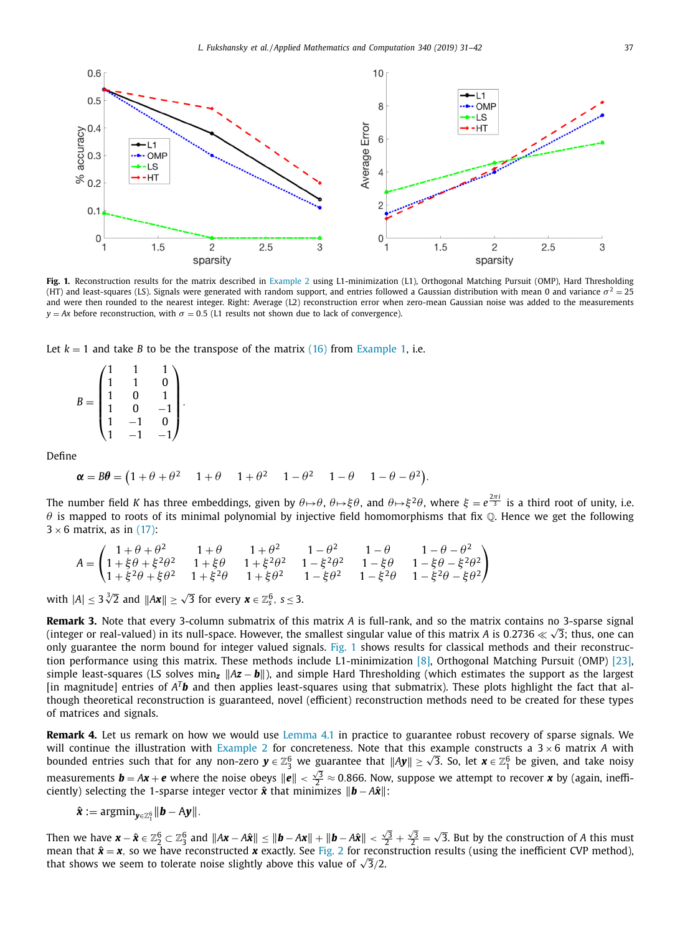<span id="page-6-0"></span>

**Fig. 1.** Reconstruction results for the matrix described in [Example](#page-5-0) 2 using L1-minimization (L1), Orthogonal Matching Pursuit (OMP), Hard Thresholding (HT) and least-squares (LS). Signals were generated with random support, and entries followed a Gaussian distribution with mean 0 and variance  $\sigma^2 = 25$ and were then rounded to the nearest integer. Right: Average (L2) reconstruction error when zero-mean Gaussian noise was added to the measurements  $y = Ax$  before reconstruction, with  $\sigma = 0.5$  (L1 results not shown due to lack of convergence).

Let  $k = 1$  and take *B* to be the transpose of the matrix [\(16\)](#page-4-0) from [Example](#page-4-0) 1, i.e.

| B<br>$=$ | 1 |                | 0 |  |
|----------|---|----------------|---|--|
|          |   | 0              |   |  |
|          |   | $\overline{0}$ |   |  |
|          |   |                | 0 |  |
|          |   |                |   |  |

Define

$$
\boldsymbol{\alpha} = B\boldsymbol{\theta} = (1 + \theta + \theta^2 \quad 1 + \theta \quad 1 + \theta^2 \quad 1 - \theta^2 \quad 1 - \theta \quad 1 - \theta - \theta^2).
$$

The number field *K* has three embeddings, given by  $\theta \mapsto \theta$ ,  $\theta \mapsto \xi \theta$ , and  $\theta \mapsto \xi^2 \theta$ , where  $\xi=e^{\frac{2\pi i}{3}}$  is a third root of unity, i.e.  $\theta$  is mapped to roots of its minimal polynomial by injective field homomorphisms that fix  $\mathbb Q$ . Hence we get the following  $3 \times 6$  matrix, as in [\(17\):](#page-5-0)

$$
A = \begin{pmatrix} 1+\theta+\theta^2 & 1+\theta & 1+\theta^2 & 1-\theta^2 & 1-\theta & 1-\theta-\theta^2 \\ 1+\xi\theta+\xi^2\theta^2 & 1+\xi\theta & 1+\xi^2\theta^2 & 1-\xi^2\theta^2 & 1-\xi\theta & 1-\xi\theta-\xi^2\theta^2 \\ 1+\xi^2\theta+\xi\theta^2 & 1+\xi^2\theta & 1+\xi\theta^2 & 1-\xi\theta^2 & 1-\xi^2\theta & 1-\xi^2\theta-\xi\theta^2 \end{pmatrix}
$$

with  $|A| \leq 3\sqrt[3]{2}$  and  $||Ax|| \geq \sqrt{3}$  for every  $x \in \mathbb{Z}_s^6$ ,  $s \leq 3$ .

**Remark 3.** Note that every 3-column submatrix of this matrix *A* is full-rank, and so the matrix contains no 3-sparse signal **REINATRES.** Note that every 5-column submatrix of this matrix A is fun-failk, and so the matrix contains no 5-sparse signal<br>(integer or real-valued) in its null-space. However, the smallest singular value of this matrix only guarantee the norm bound for integer valued signals. Fig. 1 shows results for classical methods and their reconstruction performance using this matrix. These methods include L1-minimization [\[8\],](#page-10-0) Orthogonal Matching Pursuit (OMP) [\[23\],](#page-11-0) simple least-squares (LS solves min<sub>z</sub>  $\|Az - b\|$ ), and simple Hard Thresholding (which estimates the support as the largest [in magnitude] entries of *ATb* and then applies least-squares using that submatrix). These plots highlight the fact that although theoretical reconstruction is guaranteed, novel (efficient) reconstruction methods need to be created for these types of matrices and signals.

**Remark 4.** Let us remark on how we would use [Lemma](#page-5-0) 4.1 in practice to guarantee robust recovery of sparse signals. We will continue the illustration with [Example](#page-5-0) 2 for concreteness. Note that this example constructs a 3 × 6 matrix *A* with bounded entries such that for any non-zero  $y \in \mathbb{Z}_3^6$  we guarantee that  $||Ay|| \ge \sqrt{3}$ . So, let  $x \in \mathbb{Z}_1^6$  be given, and take noisy measurements  $\mathbf{b} = A\mathbf{x} + \mathbf{e}$  where the noise obeys  $\|\mathbf{e}\| < \frac{\sqrt{3}}{2} \approx 0.866$ . Now, suppose we attempt to recover *x* by (again, inefficiently) selecting the 1-sparse integer vector  $\hat{x}$  that minimizes  $\|\hat{b} - A\hat{x}\|$ :

$$
\hat{\boldsymbol{x}} := \mathrm{argmin}_{\boldsymbol{y} \in \mathbb{Z}_1^6} \|\boldsymbol{b} - A \boldsymbol{y}\|.
$$

Then we have  $\bm{x} - \hat{\bm{x}} \in \mathbb{Z}_2^6 \subset \mathbb{Z}_3^6$  and  $\|\bm{A}\bm{x} - \bm{A}\hat{\bm{x}}\| \leq \|\bm{b} - \bm{A}\bm{x}\| + \|\bm{b} - \bm{A}\hat{\bm{x}}\| < \frac{\sqrt{3}}{2} + \frac{\sqrt{3}}{2} = \sqrt{3}.$  But by the construction of  $A$  this must mean that  $\hat{x} = x$ , so we have reconstructed x exactly. See [Fig.](#page-7-0) 2 for reconstruction results (using the inefficient CVP method), the an that  $x = x$ , so we have reconstructed x exactly. See Fig. 2 for recontributions we seem to tolerate noise slightly above this value of  $\sqrt{3}/2$ .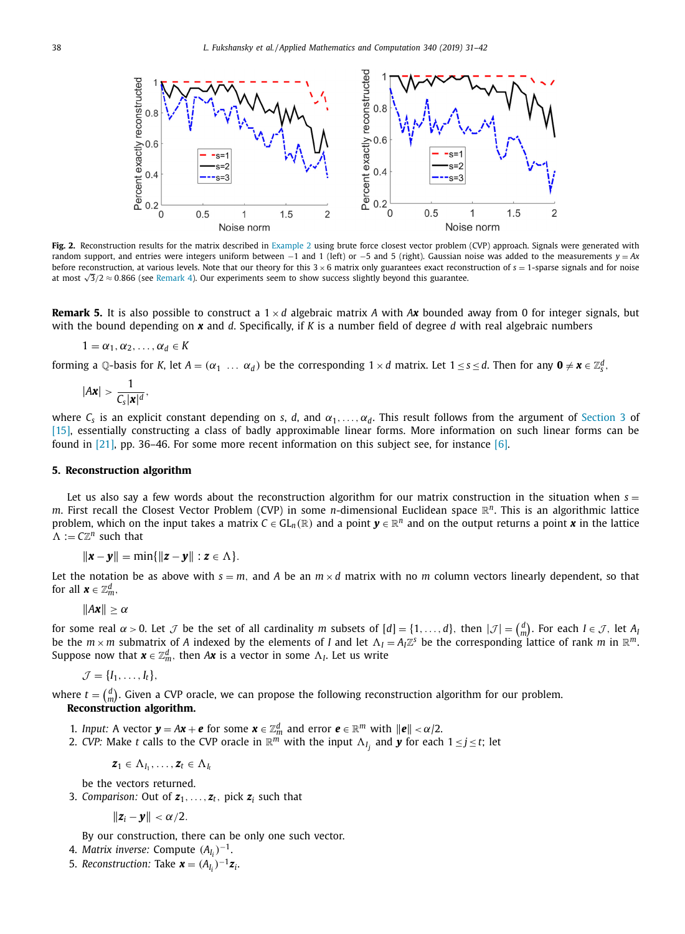<span id="page-7-0"></span>

**Fig. 2.** Reconstruction results for the matrix described in [Example](#page-5-0) 2 using brute force closest vector problem (CVP) approach. Signals were generated with random support, and entries were integers uniform between −1 and 1 (left) or −5 and 5 (right). Gaussian noise was added to the measurements *y* = *Ax* before reconstruction, at various levels. Note that our theory for this 3 × 6 matrix only guarantees exact reconstruction of *s* = 1-sparse signals and for noise at most <sup>√</sup> 3/2 ≈ 0.866 (see [Remark](#page-6-0) 4). Our experiments seem to show success slightly beyond this guarantee.

**Remark 5.** It is also possible to construct a  $1 \times d$  algebraic matrix *A* with *Ax* bounded away from 0 for integer signals, but with the bound depending on *x* and *d*. Specifically, if *K* is a number field of degree *d* with real algebraic numbers

$$
1=\alpha_1,\alpha_2,\ldots,\alpha_d\in K
$$

forming a Q-basis for *K*, let  $A = (\alpha_1 \dots \alpha_d)$  be the corresponding  $1 \times d$  matrix. Let  $1 \le s \le d$ . Then for any  $\mathbf{0} \neq \mathbf{x} \in \mathbb{Z}_s^d$ ,

$$
|A\mathbf{x}| > \frac{1}{C_s |\mathbf{x}|^d},
$$

where  $C_s$  is an explicit constant depending on *s*, *d*, and  $\alpha_1, \ldots, \alpha_d$ . This result follows from the argument of [Section](#page-3-0) 3 of [\[15\],](#page-10-0) essentially constructing a class of badly approximable linear forms. More information on such linear forms can be found in  $[21]$ , pp. 36–46. For some more recent information on this subject see, for instance  $[6]$ .

## **5. Reconstruction algorithm**

Let us also say a few words about the reconstruction algorithm for our matrix construction in the situation when  $s =$ *m*. First recall the Closest Vector Problem (CVP) in some *n*-dimensional Euclidean space R*n*. This is an algorithmic lattice problem, which on the input takes a matrix  $C \in GL_n(\mathbb{R})$  and a point  $\mathbf{v} \in \mathbb{R}^n$  and on the output returns a point  $\mathbf{x}$  in the lattice  $\Lambda := C\mathbb{Z}^n$  such that

 $\|\mathbf{x} - \mathbf{y}\| = \min\{\|\mathbf{z} - \mathbf{y}\| : \mathbf{z} \in \Lambda\}.$ 

Let the notation be as above with  $s = m$ , and A be an  $m \times d$  matrix with no m column vectors linearly dependent, so that for all  $\boldsymbol{x} \in \mathbb{Z}_m^d$ ,

 $||Ax|| > \alpha$ 

for some real  $\alpha > 0$ . Let  $\mathcal J$  be the set of all cardinality  $m$  subsets of  $[d] = \{1, \ldots, d\}$ , then  $|\mathcal J| = {d \choose m}$ . For each  $I \in \mathcal J$ , let  $A$ be the  $m \times m$  submatrix of A indexed by the elements of *I* and let  $\Lambda_I = A_I \mathbb{Z}^s$  be the corresponding lattice of rank  $m$  in  $\mathbb{R}^m$ . Suppose now that  $\boldsymbol{x} \in \mathbb{Z}_m^d$ , then  $A\boldsymbol{x}$  is a vector in some  $\Lambda_I$ . Let us write

$$
\mathcal{J} = \{I_1, \ldots, I_t\},\
$$

where  $t = \binom{d}{m}$ . Given a CVP oracle, we can propose the following reconstruction algorithm for our problem. **Reconstruction algorithm.**

- 1. *Input:* A vector  $\mathbf{y} = A\mathbf{x} + \mathbf{e}$  for some  $\mathbf{x} \in \mathbb{Z}_m^d$  and error  $\mathbf{e} \in \mathbb{R}^m$  with  $\|\mathbf{e}\| < \alpha/2$ .
- 2. *CVP*: Make *t* calls to the CVP oracle in  $\mathbb{R}^m$  with the input  $\Lambda_{I_j}$  and  $\bm{y}$  for each  $1 \leq j \leq t$ ; let

 $\mathbf{z}_1 \in \Lambda_{I_1}, \ldots, \mathbf{z}_t \in \Lambda_{I_t}$ 

be the vectors returned.

3. *Comparison:* Out of  $z_1, \ldots, z_t$ , pick  $z_i$  such that

$$
\|\bm{z}_i-\bm{y}\|<\alpha/2.
$$

By our construction, there can be only one such vector.

- 4. *Matrix inverse:* Compute (*AI i* )<sup>−</sup>1.
- 5. *Reconstruction:* Take  $\boldsymbol{x} = (A_{I_i})^{-1} \boldsymbol{z}_i$ .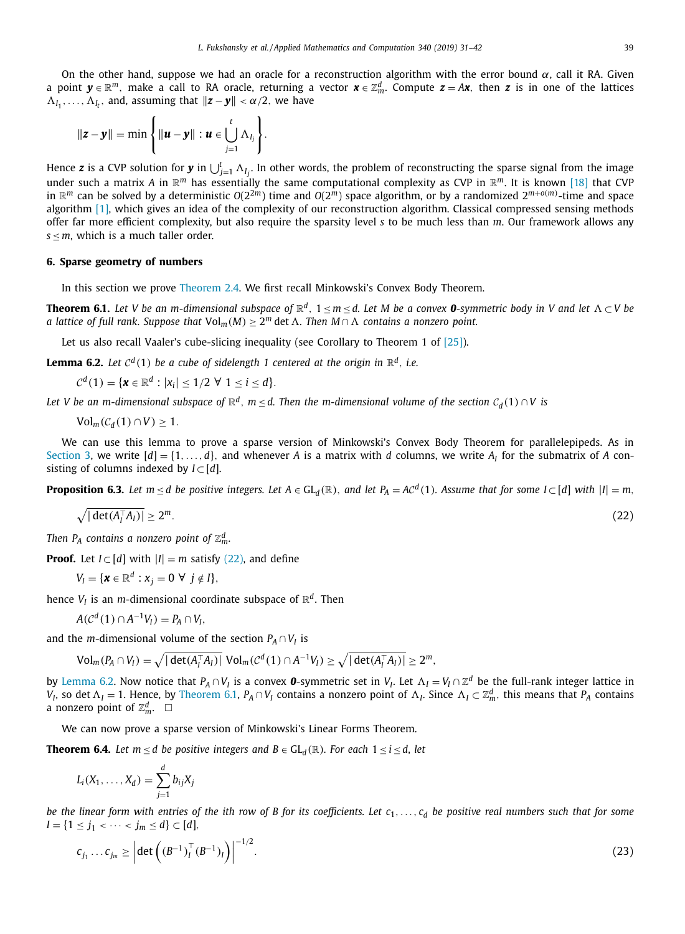<span id="page-8-0"></span>On the other hand, suppose we had an oracle for a reconstruction algorithm with the error bound  $\alpha$ , call it RA. Given a point *y* ∈ R*m*, make a call to RA oracle, returning a vector *x* ∈ Z*<sup>d</sup> <sup>m</sup>*. Compute *z* = *Ax*, then *z* is in one of the lattices  $\Lambda_{I_1}, \ldots, \Lambda_{I_t}$ , and, assuming that  $\|\mathbf{z} - \mathbf{y}\| < \alpha/2$ , we have

$$
\|\mathbf{z}-\mathbf{y}\|=\min\left\{\|\mathbf{u}-\mathbf{y}\|:\mathbf{u}\in\bigcup_{j=1}^t\Lambda_{I_j}\right\}.
$$

Hence  $z$  is a CVP solution for  $y$  in  $\bigcup_{j=1}^t\Lambda_{I_j}.$  In other words, the problem of reconstructing the sparse signal from the image under such a matrix *A* in R*<sup>m</sup>* has essentially the same computational complexity as CVP in R*m*. It is known [\[18\]](#page-11-0) that CVP in  $\mathbb{R}^m$  can be solved by a deterministic  $O(2^{2m})$  time and  $O(2^m)$  space algorithm, or by a randomized  $2^{m+o(m)}$ -time and space algorithm [\[1\],](#page-10-0) which gives an idea of the complexity of our reconstruction algorithm. Classical compressed sensing methods offer far more efficient complexity, but also require the sparsity level *s* to be much less than *m*. Our framework allows any  $s \leq m$ , which is a much taller order.

### **6. Sparse geometry of numbers**

In this section we prove [Theorem](#page-2-0) 2.4. We first recall Minkowski's Convex Body Theorem.

**Theorem 6.1.** Let V be an m-dimensional subspace of  $\mathbb{R}^d$ ,  $1 \le m \le d$ . Let M be a convex **0**-symmetric body in V and let  $\Lambda \subset V$  be *a* lattice of full rank. Suppose that  $Vol_m(M) \geq 2^m$  det  $\Lambda$ . Then  $M \cap \Lambda$  contains a nonzero point.

Let us also recall Vaaler's cube-slicing inequality (see Corollary to Theorem 1 of  $[25]$ ).

**Lemma 6.2.** Let  $C^d(1)$  be a cube of sidelength 1 centered at the origin in  $\mathbb{R}^d$ , i.e.

 $C^d(1) = \{ \mathbf{x} \in \mathbb{R}^d : |x_i| \leq 1/2 \; \forall \; 1 \leq i \leq d \}.$ 

Let V be an m-dimensional subspace of  $\mathbb{R}^d$ ,  $m \le d$ . Then the m-dimensional volume of the section  $C_d(1) \cap V$  is

 $Vol_m(\mathcal{C}_d(1) \cap V) \geq 1.$ 

We can use this lemma to prove a sparse version of Minkowski's Convex Body Theorem for parallelepipeds. As in [Section](#page-3-0) 3, we write  $[d] = \{1, \ldots, d\}$ , and whenever *A* is a matrix with *d* columns, we write *A<sub>I</sub>* for the submatrix of *A* consisting of columns indexed by  $I \subset [d]$ .

**Proposition 6.3.** Let  $m \le d$  be positive integers. Let  $A \in GL_d(\mathbb{R})$ , and let  $P_A = AC^d(1)$ . Assume that for some  $I \subset [d]$  with  $|I| = m$ ,

$$
\sqrt{|\det(A_I^{\top} A_I)|} \ge 2^m. \tag{22}
$$

*Then*  $P_A$  *contains a nonzero point of*  $\mathbb{Z}_m^d$ .

**Proof.** Let  $I \subset [d]$  with  $|I| = m$  satisfy (22), and define

$$
V_I = \{ \mathbf{x} \in \mathbb{R}^d : x_j = 0 \ \forall \ j \notin I \},\
$$

hence  $V_I$  is an *m*-dimensional coordinate subspace of  $\mathbb{R}^d$ . Then

$$
A(\mathcal{C}^d(1)\cap A^{-1}V_I)=P_A\cap V_I,
$$

and the *m*-dimensional volume of the section  $P_A \cap V_I$  is

$$
\text{Vol}_m(P_A \cap V_I) = \sqrt{|\det(A_I^{\top} A_I)|} \text{ Vol}_m(\mathcal{C}^d(1) \cap A^{-1} V_I) \geq \sqrt{|\det(A_I^{\top} A_I)|} \geq 2^m,
$$

by Lemma 6.2. Now notice that  $P_A \cap V_I$  is a convex **0**-symmetric set in  $V_I$ . Let  $\Lambda_I = V_I \cap \mathbb{Z}^d$  be the full-rank integer lattice in *V*<sub>I</sub>, so det  $\Lambda$ <sub>I</sub> = 1. Hence, by Theorem 6.1,  $P_A \cap V_I$  contains a nonzero point of  $\Lambda$ <sub>I</sub>. Since  $\Lambda$ <sub>I</sub>  $\subset \mathbb{Z}_m^d$ , this means that  $P_A$  contains a nonzero point of  $\mathbb{Z}_m^d$ .  $\Box$ 

We can now prove a sparse version of Minkowski's Linear Forms Theorem.

**Theorem 6.4.** *Let*  $m \le d$  *be positive integers and*  $B \in GL_d(\mathbb{R})$ *. For each*  $1 \le i \le d$ *, let* 

$$
L_i(X_1,\ldots,X_d)=\sum_{j=1}^d b_{ij}X_j
$$

be the linear form with entries of the ith row of B for its coefficients. Let  $c_1, \ldots, c_d$  be positive real numbers such that for some *I* = {1 ≤ *j*<sub>1</sub> < ··· < *j*<sub>*m*</sub> ≤ *d*} ⊂ [*d*],

$$
c_{j_1} \dots c_{j_m} \ge \left| \det \left( (B^{-1})_I^\top (B^{-1})_I \right) \right|^{-1/2}.
$$
 (23)

$$
(22)
$$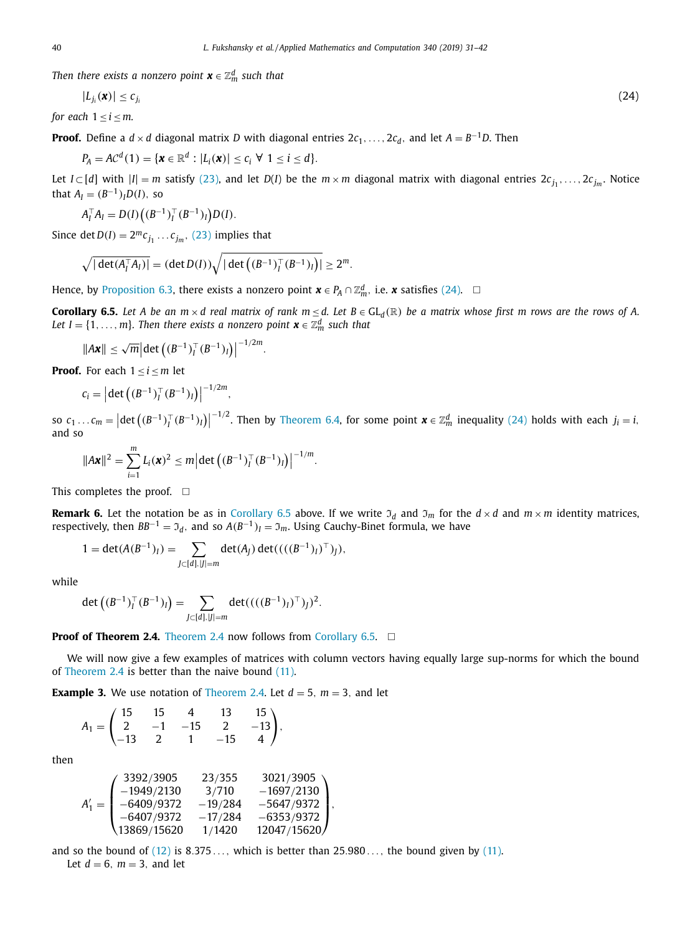*Then there exists a nonzero point*  $\boldsymbol{x} \in \mathbb{Z}_m^d$  *such that* 

$$
|L_{j_i}(\mathbf{x})| \leq c_{j_i} \tag{24}
$$

*for each*  $1 \le i \le m$ .

**Proof.** Define a *d* × *d* diagonal matrix *D* with diagonal entries  $2c_1, \ldots, 2c_d$ , and let  $A = B^{-1}D$ . Then

 $P_A = AC^d(1) = \{x \in \mathbb{R}^d : |L_i(x)| < c_i \ \forall \ 1 < i < d\}.$ 

Let *I* ⊂ [*d*] with  $|I| = m$  satisfy [\(23\),](#page-8-0) and let *D*(*I*) be the  $m \times m$  diagonal matrix with diagonal entries  $2c_j$ , ...,  $2c_{j_m}$ . Notice that  $A_I = (B^{-1})_I D(I)$ , so

$$
A_I^{\top} A_I = D(I) \big( (B^{-1})_I^{\top} (B^{-1})_I \big) D(I).
$$

Since det  $D(I) = 2^m c_{j_1} \dots c_{j_m}$ , [\(23\)](#page-8-0) implies that

$$
\sqrt{|\det(A_I^{\top} A_I)|} = (\det D(I))\sqrt{|\det((B^{-1})_I^{\top} (B^{-1})_I)|} \ge 2^m.
$$

Hence, by [Proposition](#page-8-0) 6.3, there exists a nonzero point  $\boldsymbol{x} \in P_A \cap \mathbb{Z}_m^d$ , i.e.  $\boldsymbol{x}$  satisfies (24).  $\Box$ 

**Corollary 6.5.** Let A be an  $m \times d$  real matrix of rank  $m \le d$ . Let  $B \in GL_d(\mathbb{R})$  be a matrix whose first m rows are the rows of A. *Let I* = {1, . . . , *m*}. Then there exists a nonzero point  $\boldsymbol{x} \in \mathbb{Z}_m^d$  such that

$$
\|A\mathbf{x}\| \leq \sqrt{m} \Big| \det \big( (B^{-1})_I^\top (B^{-1})_I \big) \Big|^{-1/2m}.
$$

**Proof.** For each  $1 \le i \le m$  let

$$
c_i = \left| \det \left( (B^{-1})_I^\top (B^{-1})_I \right) \right|^{-1/2m},
$$

so  $c_1 ... c_m = | \det ((B^{-1})_I^{\top} (B^{-1})_I ) |$  $-1/2$ . Then by [Theorem](#page-8-0) 6.4, for some point  $\boldsymbol{x} \in \mathbb{Z}_m^d$  inequality (24) holds with each  $j_i = i$ , and so

$$
||A\mathbf{x}||^2 = \sum_{i=1}^m L_i(\mathbf{x})^2 \le m \left| \det \left( (B^{-1})_I^\top (B^{-1})_I \right) \right|^{-1/m}.
$$

This completes the proof.  $\Box$ 

**Remark 6.** Let the notation be as in Corollary 6.5 above. If we write  $\mathfrak{I}_d$  and  $\mathfrak{I}_m$  for the  $d \times d$  and  $m \times m$  identity matrices, respectively, then  $BB^{-1} = \mathfrak{I}_d$ , and so  $A(B^{-1})_I = \mathfrak{I}_m$ . Using Cauchy-Binet formula, we have

$$
1 = \det(A(B^{-1})_I) = \sum_{J \subset [d], |J| = m} \det(A_J) \det(((B^{-1})_I)^\top)_J),
$$

while

$$
\det\left((B^{-1})_I^\top(B^{-1})_I\right) = \sum_{J \subset [d], |J| = m} \det(((B^{-1})_I)^\top)_J)^2.
$$

**Proof of [Theorem](#page-2-0) 2.4.** Theorem 2.4 now follows from Corollary 6.5. □

We will now give a few examples of matrices with column vectors having equally large sup-norms for which the bound of [Theorem](#page-2-0) 2.4 is better than the naive bound [\(11\).](#page-2-0)

**Example 3.** We use notation of [Theorem](#page-2-0) 2.4. Let  $d = 5$ ,  $m = 3$ , and let

$$
A_1 = \begin{pmatrix} 15 & 15 & 4 & 13 & 15 \\ 2 & -1 & -15 & 2 & -13 \\ -13 & 2 & 1 & -15 & 4 \end{pmatrix},
$$

then

$$
A'_1=\begin{pmatrix} 3392/3905 & 23/355 & 3021/3905 \\ -1949/2130 & 3/710 & -1697/2130 \\ -6409/9372 & -19/284 & -5647/9372 \\ -6407/9372 & -17/284 & -6353/9372 \\ 13869/15620 & 1/1420 & 12047/15620 \end{pmatrix},
$$

and so the bound of  $(12)$  is 8.375..., which is better than 25.980..., the bound given by  $(11)$ . Let  $d = 6$ ,  $m = 3$ , and let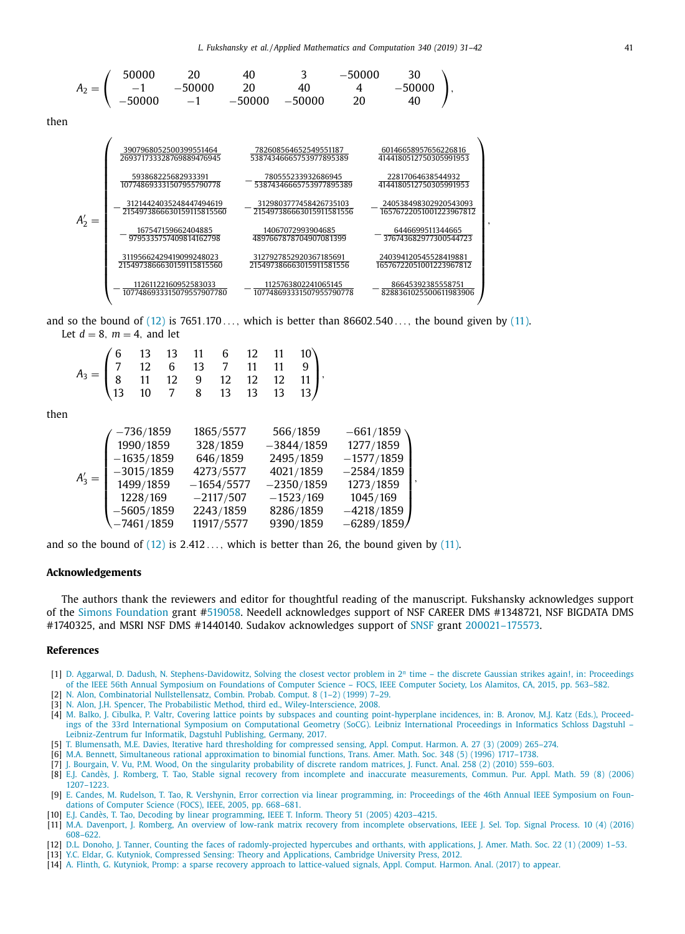<span id="page-10-0"></span>
$$
A_2=\left(\begin{array}{cccccccc}50000&20&40&3&-50000&30\\-1&-50000&20&40&4&-50000\\-50000&-1&-50000&-50000&20&40\end{array}\right),
$$

then

$$
A_2'=\left(\begin{array}{cccc} \frac{3907968052500399551464}{269371733228769889476945} & \frac{782608564652549551187}{53874346665753977895389} & \frac{60146658957656226816}{4144180512750305991953} \\\\ \frac{593868225682933391}{107748693331507955790778} & -\frac{780555233932686945}{53874346665753977895389} & \frac{228170646389544932}{4144180512750305991953} \\\\ \frac{31214424035248447494619}{2154973866630159115815560} & -\frac{3129803777458426735103}{2154973866630159115815560} & -\frac{240538498302920543093}{16576722051001223967812} \\\\ \frac{31195662429419099248023}{2154973866630159115815560} & \frac{14067072993904685}{215497386663015911581556} & -\frac{6446699511344665}{376743682977300544723} \\\\ \frac{31195662429419099248023}{2154973866630159115815560} & \frac{3127927852920367185691}{215497386663015911581556} & \frac{240394120545528419881}{165767220510012
$$

and so the bound of  $(12)$  is 7651.170..., which is better than 86602.540..., the bound given by  $(11)$ . Let  $d = 8$ ,  $m = 4$ , and let

| $A_3 = \begin{pmatrix} 6 & 13 & 13 & 11 & 6 & 12 & 11 & 10 \\ 7 & 12 & 6 & 13 & 7 & 11 & 11 & 9 \\ 8 & 11 & 12 & 9 & 12 & 12 & 12 & 11 \\ 13 & 10 & 7 & 8 & 13 & 13 & 13 & 13 \end{pmatrix},$ |  |  |  |  |  |
|-----------------------------------------------------------------------------------------------------------------------------------------------------------------------------------------------|--|--|--|--|--|
|                                                                                                                                                                                               |  |  |  |  |  |
|                                                                                                                                                                                               |  |  |  |  |  |
|                                                                                                                                                                                               |  |  |  |  |  |

then

$$
A'_3=\left(\begin{array}{cccc} -736/1859 & 1865/5577 & 566/1859 & -661/1859 \\ 1990/1859 & 328/1859 & -3844/1859 & 1277/1859 \\ -1635/1859 & 646/1859 & 2495/1859 & -1577/1859 \\ -3015/1859 & 4273/5577 & 4021/1859 & -2584/1859 \\ 1499/1859 & -1654/5577 & -2350/1859 & 1273/1859 \\ 1228/169 & -2117/507 & -1523/169 & 1045/169 \\ -5605/1859 & 2243/1859 & 8286/1859 & -4218/1859 \\ -7461/1859 & 11917/5577 & 9390/1859 & -6289/1859 \end{array}\right),
$$

and so the bound of  $(12)$  is 2.412..., which is better than 26, the bound given by  $(11)$ .

### **Acknowledgements**

The authors thank the reviewers and editor for thoughtful reading of the manuscript. Fukshansky acknowledges support of the Simons [Foundation](https://doi.org/10.13039/100000893) grant #519058. Needell acknowledges support of NSF CAREER DMS #1348721, NSF BIGDATA DMS #1740325, and MSRI NSF DMS #1440140. Sudakov acknowledges support of [SNSF](https://doi.org/10.13039/501100001711) grant 200021–175573.

#### **References**

- [1] D. [Aggarwal,](http://refhub.elsevier.com/S0096-3003(18)30646-5/sbref0001) D. [Dadush,](http://refhub.elsevier.com/S0096-3003(18)30646-5/sbref0001) N. [Stephens-Davidowitz,](http://refhub.elsevier.com/S0096-3003(18)30646-5/sbref0001) Solving the closest vector problem in 2*<sup>n</sup>* time the discrete Gaussian strikes again!, in: Proceedings of the IEEE 56th Annual Symposium on Foundations of Computer Science – FOCS, IEEE Computer Society, Los Alamitos, CA, 2015, pp. 563–582.
- [2] N. [Alon,](http://refhub.elsevier.com/S0096-3003(18)30646-5/sbref0002) Combinatorial [Nullstellensatz,](http://refhub.elsevier.com/S0096-3003(18)30646-5/sbref0002) Combin. Probab. Comput. 8 (1–2) (1999) 7–29.
- [3] N. [Alon,](http://refhub.elsevier.com/S0096-3003(18)30646-5/sbref0003) J.H. [Spencer,](http://refhub.elsevier.com/S0096-3003(18)30646-5/sbref0003) The Probabilistic Method, third ed., [Wiley-Interscience,](http://refhub.elsevier.com/S0096-3003(18)30646-5/sbref0003) 2008.
- [4] M. [Balko,](http://refhub.elsevier.com/S0096-3003(18)30646-5/sbref0004) J. [Cibulka,](http://refhub.elsevier.com/S0096-3003(18)30646-5/sbref0004) P. [Valtr,](http://refhub.elsevier.com/S0096-3003(18)30646-5/sbref0004) Covering lattice points by subspaces and counting [point-hyperplane](http://refhub.elsevier.com/S0096-3003(18)30646-5/sbref0004) incidences, in: B. Aronov, M.J. Katz (Eds.), Proceedings of the 33rd International Symposium on Computational Geometry (SoCG). Leibniz International Proceedings in Informatics Schloss Dagstuhl – Leibniz-Zentrum fur Informatik, Dagstuhl Publishing, Germany, 2017.
- [5] T. [Blumensath,](http://refhub.elsevier.com/S0096-3003(18)30646-5/sbref0005) M.E. [Davies,](http://refhub.elsevier.com/S0096-3003(18)30646-5/sbref0005) Iterative hard [thresholding](http://refhub.elsevier.com/S0096-3003(18)30646-5/sbref0005) for compressed sensing, Appl. Comput. Harmon. A. 27 (3) (2009) 265–274.
- [6] M.A. [Bennett,](http://refhub.elsevier.com/S0096-3003(18)30646-5/sbref0006) Simultaneous rational [approximation](http://refhub.elsevier.com/S0096-3003(18)30646-5/sbref0006) to binomial functions, Trans. Amer. Math. Soc. 348 (5) (1996) 1717–1738.
- [7] J. [Bourgain,](http://refhub.elsevier.com/S0096-3003(18)30646-5/sbref0007) V. [Vu,](http://refhub.elsevier.com/S0096-3003(18)30646-5/sbref0007) P.M. [Wood,](http://refhub.elsevier.com/S0096-3003(18)30646-5/sbref0007) On the singularity [probability](http://refhub.elsevier.com/S0096-3003(18)30646-5/sbref0007) of discrete random matrices, J. Funct. Anal. 258 (2) (2010) 559–603.
- [8] E.J. [Candès,](http://refhub.elsevier.com/S0096-3003(18)30646-5/sbref0008) J. [Romberg,](http://refhub.elsevier.com/S0096-3003(18)30646-5/sbref0008) T. [Tao,](http://refhub.elsevier.com/S0096-3003(18)30646-5/sbref0008) Stable signal recovery from incomplete and inaccurate [measurements,](http://refhub.elsevier.com/S0096-3003(18)30646-5/sbref0008) Commun. Pur. Appl. Math. 59 (8) (2006) 1207–1223.
- [9] E. [Candes,](http://refhub.elsevier.com/S0096-3003(18)30646-5/sbref0009) M. [Rudelson,](http://refhub.elsevier.com/S0096-3003(18)30646-5/sbref0009) T. [Tao,](http://refhub.elsevier.com/S0096-3003(18)30646-5/sbref0009) R. [Vershynin,](http://refhub.elsevier.com/S0096-3003(18)30646-5/sbref0009) Error correction via linear [programming,](http://refhub.elsevier.com/S0096-3003(18)30646-5/sbref0009) in: Proceedings of the 46th Annual IEEE Symposium on Foundations of Computer Science (FOCS), IEEE, 2005, pp. 668–681.
- [10] E.J. [Candès,](http://refhub.elsevier.com/S0096-3003(18)30646-5/sbref0010) T. [Tao,](http://refhub.elsevier.com/S0096-3003(18)30646-5/sbref0010) Decoding by linear [programming,](http://refhub.elsevier.com/S0096-3003(18)30646-5/sbref0010) IEEE T. Inform. Theory 51 (2005) 4203–4215.
- [11] M.A. [Davenport,](http://refhub.elsevier.com/S0096-3003(18)30646-5/sbref0011) J. [Romberg,](http://refhub.elsevier.com/S0096-3003(18)30646-5/sbref0011) An overview of low-rank matrix recovery from incomplete [observations,](http://refhub.elsevier.com/S0096-3003(18)30646-5/sbref0011) IEEE J. Sel. Top. Signal Process. 10 (4) (2016) 608–622.
- [12] D.L. [Donoho,](http://refhub.elsevier.com/S0096-3003(18)30646-5/sbref0012) J. [Tanner,](http://refhub.elsevier.com/S0096-3003(18)30646-5/sbref0012) Counting the faces of [radomly-projected](http://refhub.elsevier.com/S0096-3003(18)30646-5/sbref0012) hypercubes and orthants, with applications, J. Amer. Math. Soc. 22 (1) (2009) 1–53.
- [13] Y.C. [Eldar,](http://refhub.elsevier.com/S0096-3003(18)30646-5/sbref0013) G. [Kutyniok,](http://refhub.elsevier.com/S0096-3003(18)30646-5/sbref0013) Compressed Sensing: Theory and [Applications,](http://refhub.elsevier.com/S0096-3003(18)30646-5/sbref0013) Cambridge University Press, 2012.
- [14] A. [Flinth,](http://refhub.elsevier.com/S0096-3003(18)30646-5/sbref0014) G. [Kutyniok,](http://refhub.elsevier.com/S0096-3003(18)30646-5/sbref0014) Promp: a sparse recovery approach to [lattice-valued](http://refhub.elsevier.com/S0096-3003(18)30646-5/sbref0014) signals, Appl. Comput. Harmon. Anal. (2017) to appear.

,